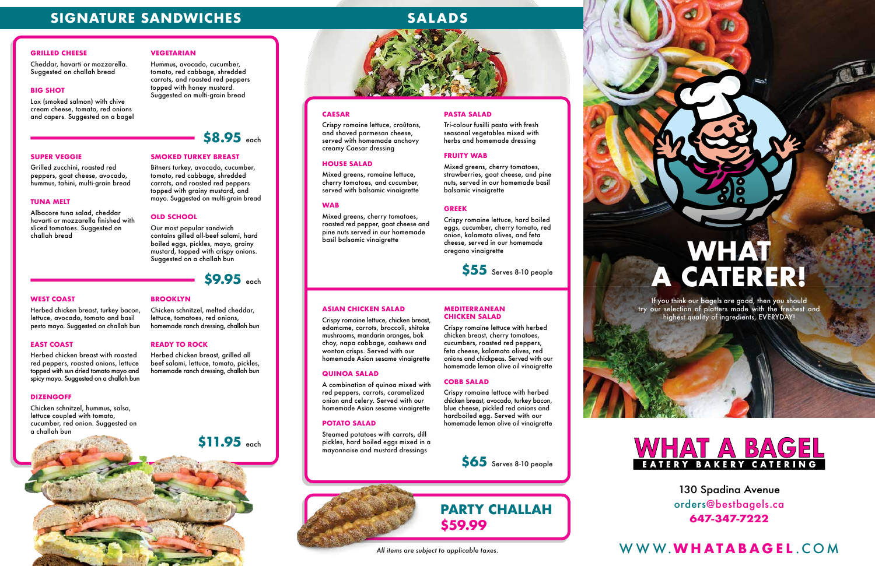130 Spadina Avenue orders@bestbagels.ca **647-347-7222**

#### **CAESAR**

Mixed greens, romaine lettuce, cherry tomatoes, and cucumber, served with balsamic vinaigrette

Crispy romaine lettuce, croûtons, and shaved parmesan cheese, served with homemade anchovy

creamy Caesar dressing

#### **HOUSE SALAD**

#### **WAB**

Mixed greens, cherry tomatoes, roasted red pepper, goat cheese and pine nuts served in our homemade basil balsamic vinaigrette

#### **PASTA SALAD**

Tri-colour fusilli pasta with fresh seasonal vegetables mixed with herbs and homemade dressing

#### **FRUITY WAB**

Mixed greens, cherry tomatoes, strawberries, goat cheese, and pine nuts, served in our homemade basil balsamic vinaigrette

#### **GREEK**

Crispy romaine lettuce, hard boiled eggs, cucumber, cherry tomato, red onion, kalamata olives, and feta cheese, served in our homemade oregano vinaigrette

#### **ASIAN CHICKEN SALAD**

Crispy romaine lettuce, chicken breast, edamame, carrots, broccoli, shitake mushrooms, mandarin oranges, bok choy, napa cabbage, cashews and wonton crisps. Served with our homemade Asian sesame vinaigrette

#### **QUINOA SALAD**

A combination of quinoa mixed with red peppers, carrots, caramelized onion and celery. Served with our homemade Asian sesame vinaigrette

#### **POTATO SALAD**

Steamed potatoes with carrots, dill pickles, hard boiled eggs mixed in a mayonnaise and mustard dressings

**MEDITERRANEAN CHICKEN SALAD**

Crispy romaine lettuce with herbed chicken breast, cherry tomatoes, cucumbers, roasted red peppers, feta cheese, kalamata olives, red onions and chickpeas. Served with our homemade lemon olive oil vinaigrette

**COBB SALAD**

Crispy romaine lettuce with herbed chicken breast, avocado, turkey bacon, blue cheese, pickled red onions and hardboiled egg. Served with our homemade lemon olive oil vinaigrette

## **SIGNATURE SANDWICHES** SALADS

### **GRILLED CHEESE**

Cheddar, havarti or mozzarella. Suggested on challah bread

### **BIG SHOT**

Lox (smoked salmon) with chive cream cheese, tomato, red onions and capers. Suggested on a bagel **VEGETARIAN**

Hummus, avocado, cucumber, tomato, red cabbage, shredded carrots, and roasted red peppers

topped with honey mustard. Suggested on multi-grain bread

#### **SUPER VEGGIE**

Grilled zucchini, roasted red peppers, goat cheese, avocado, hummus, tahini, multi-grain bread

#### **TUNA MELT**

Albacore tuna salad, cheddar havarti or mozzarella finished with sliced tomatoes. Suggested on challah bread

## **SMOKED TURKEY BREAST**

Bitners turkey, avocado, cucumber, tomato, red cabbage, shredded carrots, and roasted red peppers topped with grainy mustard, and mayo. Suggested on multi-grain bread

#### **OLD SCHOOL**

Our most popular sandwich contains gilled all-beef salami, hard boiled eggs, pickles, mayo, grainy mustard, topped with crispy onions. Suggested on a challah bun

#### **WEST COAST**

Herbed chicken breast, turkey bacon, lettuce, avocado, tomato and basil pesto mayo. Suggested on challah bun

#### **EAST COAST**

Herbed chicken breast with roasted red peppers, roasted onions, lettuce topped with sun dried tomato mayo and spicy mayo. Suggested on a challah bun

#### **DIZENGOFF**

Chicken schnitzel, hummus, salsa, lettuce coupled with tomato, cucumber, red onion. Suggested on a challah bun

**BROOKLYN**

Chicken schnitzel, melted cheddar, lettuce, tomatoes, red onions, homemade ranch dressing, challah bun

**READY TO ROCK**

Herbed chicken breast, grilled all beef salami, lettuce, tomato, pickles, homemade ranch dressing, challah bun

# **PARTY CHALLAH \$59.99**



# **WHAT A CATERER!**

If you think our bagels are good, then you should try our selection of platters made with the freshest and highest quality of ingredients, EVERYDAY!



**\$55** Serves 8-10 people

**\$65** Serves 8-10 people



# **\$9.95** each

**\$11.95** each



## *All items are subject to applicable taxes.* WWW.**WHATABAGEL** .COM